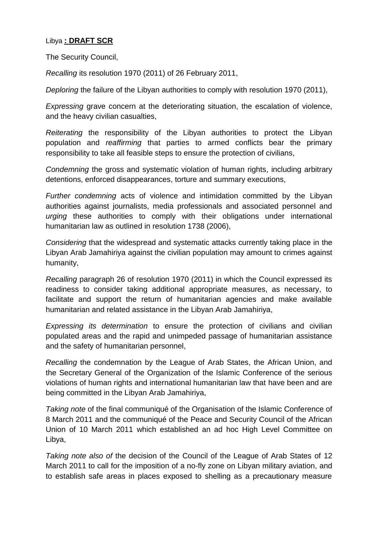#### Libya **: DRAFT SCR**

The Security Council,

*Recalling* its resolution 1970 (2011) of 26 February 2011,

*Deploring* the failure of the Libyan authorities to comply with resolution 1970 (2011),

*Expressing* grave concern at the deteriorating situation, the escalation of violence, and the heavy civilian casualties,

*Reiterating* the responsibility of the Libyan authorities to protect the Libyan population and *reaffirming* that parties to armed conflicts bear the primary responsibility to take all feasible steps to ensure the protection of civilians,

*Condemning* the gross and systematic violation of human rights, including arbitrary detentions, enforced disappearances, torture and summary executions,

*Further condemning* acts of violence and intimidation committed by the Libyan authorities against journalists, media professionals and associated personnel and *urging* these authorities to comply with their obligations under international humanitarian law as outlined in resolution 1738 (2006),

*Considering* that the widespread and systematic attacks currently taking place in the Libyan Arab Jamahiriya against the civilian population may amount to crimes against humanity,

*Recalling* paragraph 26 of resolution 1970 (2011) in which the Council expressed its readiness to consider taking additional appropriate measures, as necessary, to facilitate and support the return of humanitarian agencies and make available humanitarian and related assistance in the Libyan Arab Jamahiriya,

*Expressing its determination* to ensure the protection of civilians and civilian populated areas and the rapid and unimpeded passage of humanitarian assistance and the safety of humanitarian personnel,

*Recalling* the condemnation by the League of Arab States, the African Union, and the Secretary General of the Organization of the Islamic Conference of the serious violations of human rights and international humanitarian law that have been and are being committed in the Libyan Arab Jamahiriya,

*Taking note* of the final communiqué of the Organisation of the Islamic Conference of 8 March 2011 and the communiqué of the Peace and Security Council of the African Union of 10 March 2011 which established an ad hoc High Level Committee on Libya,

*Taking note also of* the decision of the Council of the League of Arab States of 12 March 2011 to call for the imposition of a no-fly zone on Libyan military aviation, and to establish safe areas in places exposed to shelling as a precautionary measure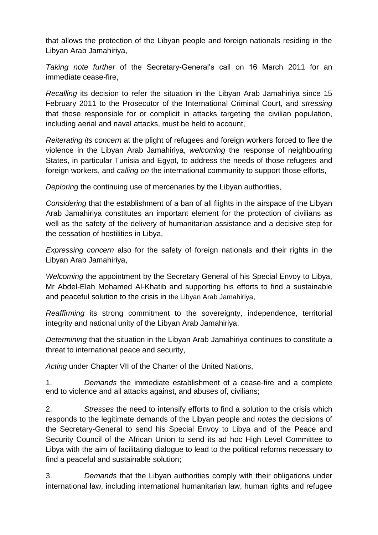that allows the protection of the Libyan people and foreign nationals residing in the Libyan Arab Jamahiriya,

*Taking note further* of the Secretary-General's call on 16 March 2011 for an immediate cease-fire,

*Recalling* its decision to refer the situation in the Libyan Arab Jamahiriya since 15 February 2011 to the Prosecutor of the International Criminal Court, and *stressing* that those responsible for or complicit in attacks targeting the civilian population, including aerial and naval attacks, must be held to account,

*Reiterating its concern* at the plight of refugees and foreign workers forced to flee the violence in the Libyan Arab Jamahiriya, *welcoming* the response of neighbouring States, in particular Tunisia and Egypt, to address the needs of those refugees and foreign workers, and *calling on* the international community to support those efforts,

*Deploring* the continuing use of mercenaries by the Libyan authorities,

*Considering* that the establishment of a ban of all flights in the airspace of the Libyan Arab Jamahiriya constitutes an important element for the protection of civilians as well as the safety of the delivery of humanitarian assistance and a decisive step for the cessation of hostilities in Libya,

*Expressing concern* also for the safety of foreign nationals and their rights in the Libyan Arab Jamahiriya,

*Welcoming* the appointment by the Secretary General of his Special Envoy to Libya, Mr Abdel-Elah Mohamed Al-Khatib and supporting his efforts to find a sustainable and peaceful solution to the crisis in the Libyan Arab Jamahiriya,

*Reaffirming* its strong commitment to the sovereignty, independence, territorial integrity and national unity of the Libyan Arab Jamahiriya,

*Determining* that the situation in the Libyan Arab Jamahiriya continues to constitute a threat to international peace and security,

*Acting* under Chapter VII of the Charter of the United Nations,

1. *Demands* the immediate establishment of a cease-fire and a complete end to violence and all attacks against, and abuses of, civilians;

2. *Stresses* the need to intensify efforts to find a solution to the crisis which responds to the legitimate demands of the Libyan people and *notes* the decisions of the Secretary-General to send his Special Envoy to Libya and of the Peace and Security Council of the African Union to send its ad hoc High Level Committee to Libya with the aim of facilitating dialogue to lead to the political reforms necessary to find a peaceful and sustainable solution;

3. *Demands* that the Libyan authorities comply with their obligations under international law, including international humanitarian law, human rights and refugee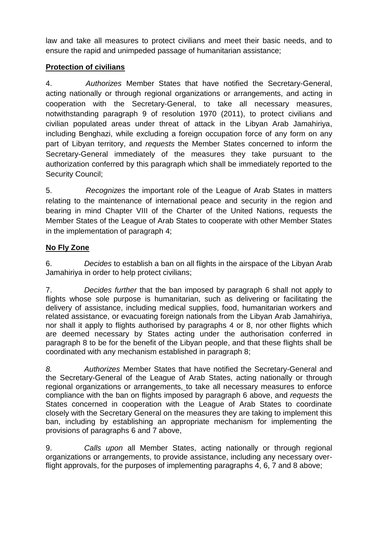law and take all measures to protect civilians and meet their basic needs, and to ensure the rapid and unimpeded passage of humanitarian assistance;

## **Protection of civilians**

4. *Authorizes* Member States that have notified the Secretary-General, acting nationally or through regional organizations or arrangements, and acting in cooperation with the Secretary-General, to take all necessary measures, notwithstanding paragraph 9 of resolution 1970 (2011), to protect civilians and civilian populated areas under threat of attack in the Libyan Arab Jamahiriya, including Benghazi, while excluding a foreign occupation force of any form on any part of Libyan territory, and *requests* the Member States concerned to inform the Secretary-General immediately of the measures they take pursuant to the authorization conferred by this paragraph which shall be immediately reported to the Security Council;

5. *Recognizes* the important role of the League of Arab States in matters relating to the maintenance of international peace and security in the region and bearing in mind Chapter VIII of the Charter of the United Nations, requests the Member States of the League of Arab States to cooperate with other Member States in the implementation of paragraph 4;

# **No Fly Zone**

6. *Decides* to establish a ban on all flights in the airspace of the Libyan Arab Jamahiriya in order to help protect civilians;

7. *Decides further* that the ban imposed by paragraph 6 shall not apply to flights whose sole purpose is humanitarian, such as delivering or facilitating the delivery of assistance, including medical supplies, food, humanitarian workers and related assistance, or evacuating foreign nationals from the Libyan Arab Jamahiriya, nor shall it apply to flights authorised by paragraphs 4 or 8, nor other flights which are deemed necessary by States acting under the authorisation conferred in paragraph 8 to be for the benefit of the Libyan people, and that these flights shall be coordinated with any mechanism established in paragraph 8;

*8. Authorizes* Member States that have notified the Secretary-General and the Secretary-General of the League of Arab States, acting nationally or through regional organizations or arrangements, to take all necessary measures to enforce compliance with the ban on flights imposed by paragraph 6 above, and *requests* the States concerned in cooperation with the League of Arab States to coordinate closely with the Secretary General on the measures they are taking to implement this ban, including by establishing an appropriate mechanism for implementing the provisions of paragraphs 6 and 7 above,

9. *Calls upon* all Member States, acting nationally or through regional organizations or arrangements, to provide assistance, including any necessary overflight approvals, for the purposes of implementing paragraphs 4, 6, 7 and 8 above;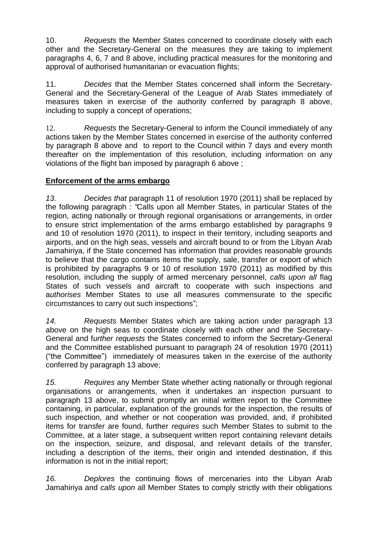10. *Requests* the Member States concerned to coordinate closely with each other and the Secretary-General on the measures they are taking to implement paragraphs 4, 6, 7 and 8 above, including practical measures for the monitoring and approval of authorised humanitarian or evacuation flights;

11. *Decides* that the Member States concerned shall inform the Secretary-General and the Secretary-General of the League of Arab States immediately of measures taken in exercise of the authority conferred by paragraph 8 above, including to supply a concept of operations;

12. *Requests* the Secretary-General to inform the Council immediately of any actions taken by the Member States concerned in exercise of the authority conferred by paragraph 8 above and to report to the Council within 7 days and every month thereafter on the implementation of this resolution, including information on any violations of the flight ban imposed by paragraph 6 above ;

### **Enforcement of the arms embargo**

*13. Decides that* paragraph 11 of resolution 1970 (2011) shall be replaced by the following paragraph *: "*Calls upon all Member States, in particular States of the region, acting nationally or through regional organisations or arrangements, in order to ensure strict implementation of the arms embargo established by paragraphs 9 and 10 of resolution 1970 (2011), to inspect in their territory, including seaports and airports, and on the high seas, vessels and aircraft bound to or from the Libyan Arab Jamahiriya, if the State concerned has information that provides reasonable grounds to believe that the cargo contains items the supply, sale, transfer or export of which is prohibited by paragraphs 9 or 10 of resolution 1970 (2011) as modified by this resolution, including the supply of armed mercenary personnel, *calls upon all* flag States of such vessels and aircraft to cooperate with such inspections and a*uthorises* Member States to use all measures commensurate to the specific circumstances to carry out such inspections";

*14. Requests* Member States which are taking action under paragraph 13 above on the high seas to coordinate closely with each other and the Secretary-General and f*urther requests* the States concerned to inform the Secretary-General and the Committee established pursuant to paragraph 24 of resolution 1970 (2011) ("the Committee") immediately of measures taken in the exercise of the authority conferred by paragraph 13 above;

*15. Requires* any Member State whether acting nationally or through regional organisations or arrangements, when it undertakes an inspection pursuant to paragraph 13 above, to submit promptly an initial written report to the Committee containing, in particular, explanation of the grounds for the inspection, the results of such inspection, and whether or not cooperation was provided, and, if prohibited items for transfer are found, further *requires* such Member States to submit to the Committee, at a later stage, a subsequent written report containing relevant details on the inspection, seizure, and disposal, and relevant details of the transfer, including a description of the items, their origin and intended destination, if this information is not in the initial report;

*16. Deplores* the continuing flows of mercenaries into the Libyan Arab Jamahiriya and *calls upon* all Member States to comply strictly with their obligations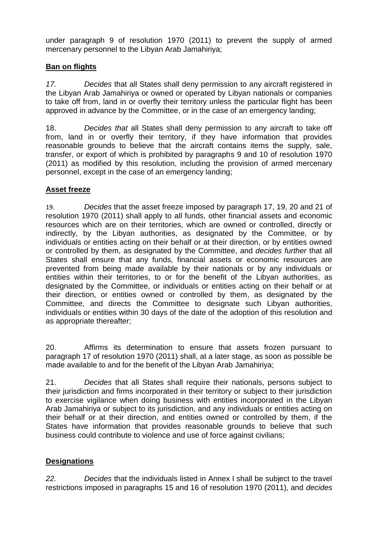under paragraph 9 of resolution 1970 (2011) to prevent the supply of armed mercenary personnel to the Libyan Arab Jamahiriya;

### **Ban on flights**

*17. Decides* that all States shall deny permission to any aircraft registered in the Libyan Arab Jamahiriya or owned or operated by Libyan nationals or companies to take off from, land in or overfly their territory unless the particular flight has been approved in advance by the Committee, or in the case of an emergency landing;

18. *Decides that* all States shall deny permission to any aircraft to take off from, land in or overfly their territory, if they have information that provides reasonable grounds to believe that the aircraft contains items the supply, sale, transfer, or export of which is prohibited by paragraphs 9 and 10 of resolution 1970 (2011) as modified by this resolution, including the provision of armed mercenary personnel, except in the case of an emergency landing;

### **Asset freeze**

19. *Decides* that the asset freeze imposed by paragraph 17, 19, 20 and 21 of resolution 1970 (2011) shall apply to all funds, other financial assets and economic resources which are on their territories, which are owned or controlled, directly or indirectly, by the Libyan authorities, as designated by the Committee, or by individuals or entities acting on their behalf or at their direction, or by entities owned or controlled by them, as designated by the Committee, and *decides further* that all States shall ensure that any funds, financial assets or economic resources are prevented from being made available by their nationals or by any individuals or entities within their territories, to or for the benefit of the Libyan authorities, as designated by the Committee, or individuals or entities acting on their behalf or at their direction, or entities owned or controlled by them, as designated by the Committee, and directs the Committee to designate such Libyan authorities, individuals or entities within 30 days of the date of the adoption of this resolution and as appropriate thereafter;

20. Affirms its determination to ensure that assets frozen pursuant to paragraph 17 of resolution 1970 (2011) shall, at a later stage, as soon as possible be made available to and for the benefit of the Libyan Arab Jamahiriya;

21. *Decides* that all States shall require their nationals, persons subject to their jurisdiction and firms incorporated in their territory or subject to their jurisdiction to exercise vigilance when doing business with entities incorporated in the Libyan Arab Jamahiriya or subject to its jurisdiction, and any individuals or entities acting on their behalf or at their direction, and entities owned or controlled by them, if the States have information that provides reasonable grounds to believe that such business could contribute to violence and use of force against civilians;

### **Designations**

*22. Decides* that the individuals listed in Annex I shall be subject to the travel restrictions imposed in paragraphs 15 and 16 of resolution 1970 (2011), and *decides*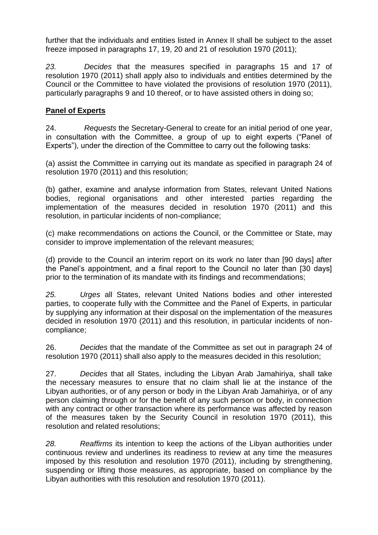further that the individuals and entities listed in Annex II shall be subject to the asset freeze imposed in paragraphs 17, 19, 20 and 21 of resolution 1970 (2011);

*23. Decides* that the measures specified in paragraphs 15 and 17 of resolution 1970 (2011) shall apply also to individuals and entities determined by the Council or the Committee to have violated the provisions of resolution 1970 (2011), particularly paragraphs 9 and 10 thereof, or to have assisted others in doing so;

### **Panel of Experts**

24. *Requests* the Secretary-General to create for an initial period of one year, in consultation with the Committee, a group of up to eight experts ("Panel of Experts"), under the direction of the Committee to carry out the following tasks:

(a) assist the Committee in carrying out its mandate as specified in paragraph 24 of resolution 1970 (2011) and this resolution;

(b) gather, examine and analyse information from States, relevant United Nations bodies, regional organisations and other interested parties regarding the implementation of the measures decided in resolution 1970 (2011) and this resolution, in particular incidents of non-compliance;

(c) make recommendations on actions the Council, or the Committee or State, may consider to improve implementation of the relevant measures;

(d) provide to the Council an interim report on its work no later than [90 days] after the Panel's appointment, and a final report to the Council no later than [30 days] prior to the termination of its mandate with its findings and recommendations;

*25. Urges* all States, relevant United Nations bodies and other interested parties, to cooperate fully with the Committee and the Panel of Experts, in particular by supplying any information at their disposal on the implementation of the measures decided in resolution 1970 (2011) and this resolution, in particular incidents of noncompliance;

26. *Decides* that the mandate of the Committee as set out in paragraph 24 of resolution 1970 (2011) shall also apply to the measures decided in this resolution;

27. *Decides* that all States, including the Libyan Arab Jamahiriya, shall take the necessary measures to ensure that no claim shall lie at the instance of the Libyan authorities, or of any person or body in the Libyan Arab Jamahiriya, or of any person claiming through or for the benefit of any such person or body, in connection with any contract or other transaction where its performance was affected by reason of the measures taken by the Security Council in resolution 1970 (2011), this resolution and related resolutions;

*28. Reaffirms* its intention to keep the actions of the Libyan authorities under continuous review and underlines its readiness to review at any time the measures imposed by this resolution and resolution 1970 (2011), including by strengthening, suspending or lifting those measures, as appropriate, based on compliance by the Libyan authorities with this resolution and resolution 1970 (2011).